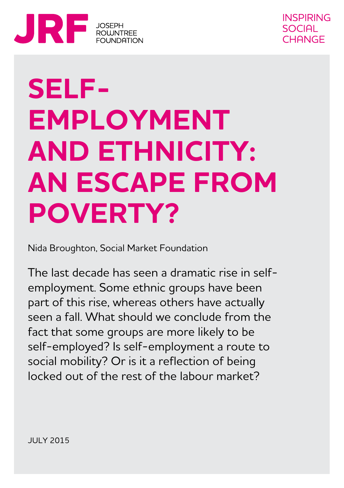

# **SELF-EMPLOYMENT AND ETHNICITY: AN ESCAPE FROM POVERTY?**

Nida Broughton, Social Market Foundation

The last decade has seen a dramatic rise in selfemployment. Some ethnic groups have been part of this rise, whereas others have actually seen a fall. What should we conclude from the fact that some groups are more likely to be self-employed? Is self-employment a route to social mobility? Or is it a reflection of being locked out of the rest of the labour market?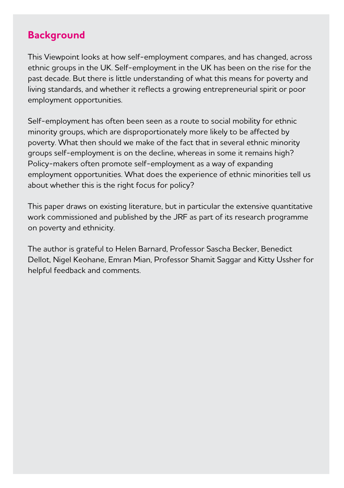#### **Background**

This Viewpoint looks at how self-employment compares, and has changed, across ethnic groups in the UK. Self-employment in the UK has been on the rise for the past decade. But there is little understanding of what this means for poverty and living standards, and whether it reflects a growing entrepreneurial spirit or poor employment opportunities.

Self-employment has often been seen as a route to social mobility for ethnic minority groups, which are disproportionately more likely to be affected by poverty. What then should we make of the fact that in several ethnic minority groups self-employment is on the decline, whereas in some it remains high? Policy-makers often promote self-employment as a way of expanding employment opportunities. What does the experience of ethnic minorities tell us about whether this is the right focus for policy?

This paper draws on existing literature, but in particular the extensive quantitative work commissioned and published by the JRF as part of its research programme on poverty and ethnicity.

The author is grateful to Helen Barnard, Professor Sascha Becker, Benedict Dellot, Nigel Keohane, Emran Mian, Professor Shamit Saggar and Kitty Ussher for helpful feedback and comments.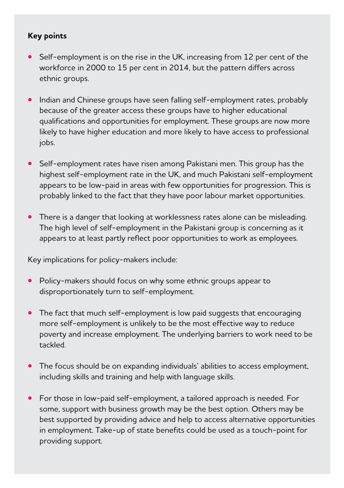#### **Key points**

- Self-employment is on the rise in the UK, increasing from 12 per cent of the workforce in 2000 to 15 per cent in 2014, but the pattern differs across ethnic groups.
- **•** Indian and Chinese groups have seen falling self-employment rates, probably because of the greater access these groups have to higher educational qualifications and opportunities for employment. These groups are now more likely to have higher education and more likely to have access to professional jobs.
- **•** Self-employment rates have risen among Pakistani men. This group has the highest self-employment rate in the UK, and much Pakistani self-employment appears to be low-paid in areas with few opportunities for progression. This is probably linked to the fact that they have poor labour market opportunities.
- **•** There is a danger that looking at worklessness rates alone can be misleading. The high level of self-employment in the Pakistani group is concerning as it appears to at least partly reflect poor opportunities to work as employees.

Key implications for policy-makers include:

- **•** Policy-makers should focus on why some ethnic groups appear to disproportionately turn to self-employment.
- **•** The fact that much self-employment is low paid suggests that encouraging more self-employment is unlikely to be the most effective way to reduce poverty and increase employment. The underlying barriers to work need to be tackled.
- **•** The focus should be on expanding individuals' abilities to access employment, including skills and training and help with language skills.
- **•** For those in low-paid self-employment, a tailored approach is needed. For some, support with business growth may be the best option. Others may be best supported by providing advice and help to access alternative opportunities in employment. Take-up of state benefits could be used as a touch-point for providing support.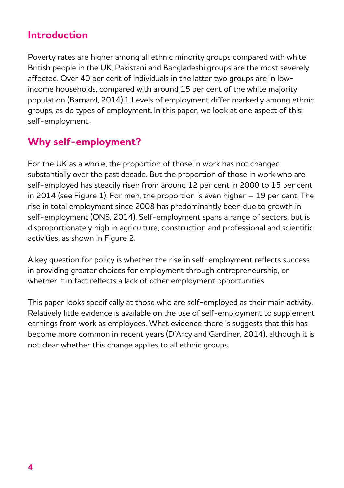### **Introduction**

Poverty rates are higher among all ethnic minority groups compared with white British people in the UK; Pakistani and Bangladeshi groups are the most severely affected. Over 40 per cent of individuals in the latter two groups are in lowincome households, compared with around 15 per cent of the white majority population (Barnard, 2014).1 Levels of employment differ markedly among ethnic groups, as do types of employment. In this paper, we look at one aspect of this: self-employment.

# **Why self-employment?**

For the UK as a whole, the proportion of those in work has not changed substantially over the past decade. But the proportion of those in work who are self-employed has steadily risen from around 12 per cent in 2000 to 15 per cent in 2014 (see Figure 1). For men, the proportion is even higher – 19 per cent. The rise in total employment since 2008 has predominantly been due to growth in self-employment (ONS, 2014). Self-employment spans a range of sectors, but is disproportionately high in agriculture, construction and professional and scientific activities, as shown in Figure 2.

A key question for policy is whether the rise in self-employment reflects success in providing greater choices for employment through entrepreneurship, or whether it in fact reflects a lack of other employment opportunities.

This paper looks specifically at those who are self-employed as their main activity. Relatively little evidence is available on the use of self-employment to supplement earnings from work as employees. What evidence there is suggests that this has become more common in recent years (D'Arcy and Gardiner, 2014), although it is not clear whether this change applies to all ethnic groups.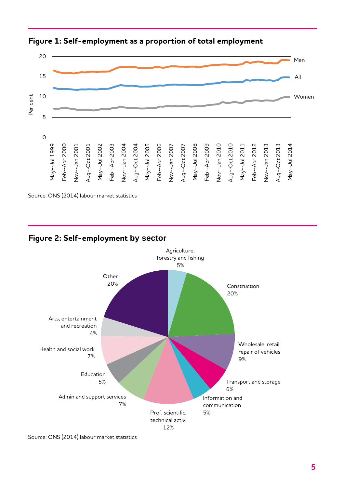

**Figure 1: Self-employment as a proportion of total employment**

#### **Figure 2: Self-employment by sector**



Source: ONS (2014) labour market statistics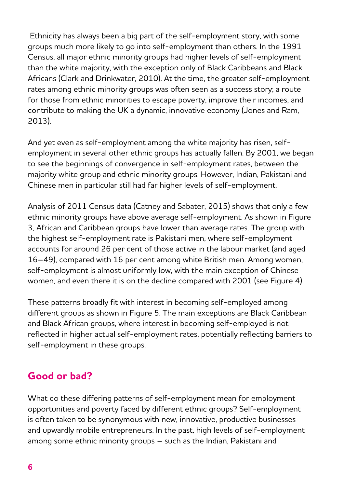Ethnicity has always been a big part of the self-employment story, with some groups much more likely to go into self-employment than others. In the 1991 Census, all major ethnic minority groups had higher levels of self-employment than the white majority, with the exception only of Black Caribbeans and Black Africans (Clark and Drinkwater, 2010). At the time, the greater self-employment rates among ethnic minority groups was often seen as a success story; a route for those from ethnic minorities to escape poverty, improve their incomes, and contribute to making the UK a dynamic, innovative economy (Jones and Ram, 2013).

And yet even as self-employment among the white majority has risen, selfemployment in several other ethnic groups has actually fallen. By 2001, we began to see the beginnings of convergence in self-employment rates, between the majority white group and ethnic minority groups. However, Indian, Pakistani and Chinese men in particular still had far higher levels of self-employment.

Analysis of 2011 Census data (Catney and Sabater, 2015) shows that only a few ethnic minority groups have above average self-employment. As shown in Figure 3, African and Caribbean groups have lower than average rates. The group with the highest self-employment rate is Pakistani men, where self-employment accounts for around 26 per cent of those active in the labour market (and aged 16–49), compared with 16 per cent among white British men. Among women, self-employment is almost uniformly low, with the main exception of Chinese women, and even there it is on the decline compared with 2001 (see Figure 4).

These patterns broadly fit with interest in becoming self-employed among different groups as shown in Figure 5. The main exceptions are Black Caribbean and Black African groups, where interest in becoming self-employed is not reflected in higher actual self-employment rates, potentially reflecting barriers to self-employment in these groups.

## **Good or bad?**

What do these differing patterns of self-employment mean for employment opportunities and poverty faced by different ethnic groups? Self-employment is often taken to be synonymous with new, innovative, productive businesses and upwardly mobile entrepreneurs. In the past, high levels of self-employment among some ethnic minority groups – such as the Indian, Pakistani and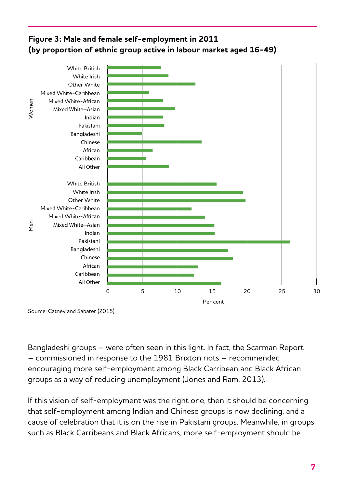#### **Figure 3: Male and female self-employment in 2011 (by proportion of ethnic group active in labour market aged 16-49)**



Source: Catney and Sabater (2015)

Bangladeshi groups – were often seen in this light. In fact, the Scarman Report – commissioned in response to the 1981 Brixton riots – recommended encouraging more self-employment among Black Carribean and Black African groups as a way of reducing unemployment (Jones and Ram, 2013).

If this vision of self-employment was the right one, then it should be concerning that self-employment among Indian and Chinese groups is now declining, and a cause of celebration that it is on the rise in Pakistani groups. Meanwhile, in groups such as Black Carribeans and Black Africans, more self-employment should be ICDI QUOTI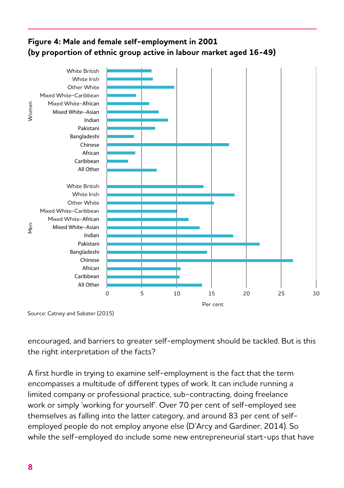#### **Figure 4: Male and female self-employment in 2001 (by proportion of ethnic group active in labour market aged 16-49)**



Source: Catney and Sabater (2015)

encouraged, and barriers to greater self-employment should be tackled. But is this the right interpretation of the facts?

A first hurdle in trying to examine self-employment is the fact that the term 40 encompasses a multitude of different types of work. It can include running a 35 limited company or professional practice, sub-contracting, doing freelance work or simply 'working for yourself'. Over 70 per cent of self-employed see 30 themselves as falling into the latter category, and around 83 per cent of selfemployed people do not employ anyone else (D'Arcy and Gardiner, 2014). So 20 while the self-employed do include some new entrepreneurial start-ups that have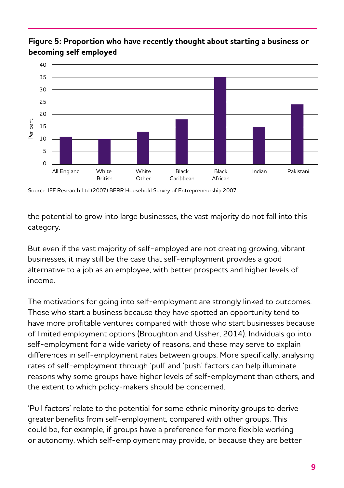

#### **Figure 5: Proportion who have recently thought about starting a business or becoming self employed**

Source: IFF Research Ltd (2007) BERR Household Survey of Entrepreneurship 2007

the potential to grow into large businesses, the vast majority do not fall into this category.

But even if the vast majority of self-employed are not creating growing, vibrant businesses, it may still be the case that self-employment provides a good alternative to a job as an employee, with better prospects and higher levels of income.

The motivations for going into self-employment are strongly linked to outcomes. Those who start a business because they have spotted an opportunity tend to have more profitable ventures compared with those who start businesses because of limited employment options (Broughton and Ussher, 2014). Individuals go into self-employment for a wide variety of reasons, and these may serve to explain differences in self-employment rates between groups. More specifically, analysing rates of self-employment through 'pull' and 'push' factors can help illuminate reasons why some groups have higher levels of self-employment than others, and the extent to which policy-makers should be concerned.

'Pull factors' relate to the potential for some ethnic minority groups to derive greater benefits from self-employment, compared with other groups. This could be, for example, if groups have a preference for more flexible working or autonomy, which self-employment may provide, or because they are better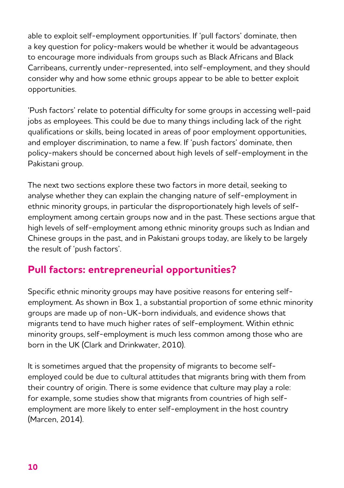able to exploit self-employment opportunities. If 'pull factors' dominate, then a key question for policy-makers would be whether it would be advantageous to encourage more individuals from groups such as Black Africans and Black Carribeans, currently under-represented, into self-employment, and they should consider why and how some ethnic groups appear to be able to better exploit opportunities.

'Push factors' relate to potential difficulty for some groups in accessing well-paid jobs as employees. This could be due to many things including lack of the right qualifications or skills, being located in areas of poor employment opportunities, and employer discrimination, to name a few. If 'push factors' dominate, then policy-makers should be concerned about high levels of self-employment in the Pakistani group.

The next two sections explore these two factors in more detail, seeking to analyse whether they can explain the changing nature of self-employment in ethnic minority groups, in particular the disproportionately high levels of selfemployment among certain groups now and in the past. These sections argue that high levels of self-employment among ethnic minority groups such as Indian and Chinese groups in the past, and in Pakistani groups today, are likely to be largely the result of 'push factors'.

## **Pull factors: entrepreneurial opportunities?**

Specific ethnic minority groups may have positive reasons for entering selfemployment. As shown in Box 1, a substantial proportion of some ethnic minority groups are made up of non-UK-born individuals, and evidence shows that migrants tend to have much higher rates of self-employment. Within ethnic minority groups, self-employment is much less common among those who are born in the UK (Clark and Drinkwater, 2010).

It is sometimes argued that the propensity of migrants to become selfemployed could be due to cultural attitudes that migrants bring with them from their country of origin. There is some evidence that culture may play a role: for example, some studies show that migrants from countries of high selfemployment are more likely to enter self-employment in the host country (Marcen, 2014).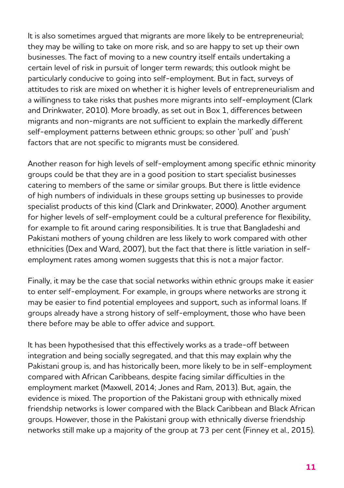It is also sometimes argued that migrants are more likely to be entrepreneurial; they may be willing to take on more risk, and so are happy to set up their own businesses. The fact of moving to a new country itself entails undertaking a certain level of risk in pursuit of longer term rewards; this outlook might be particularly conducive to going into self-employment. But in fact, surveys of attitudes to risk are mixed on whether it is higher levels of entrepreneurialism and a willingness to take risks that pushes more migrants into self-employment (Clark and Drinkwater, 2010). More broadly, as set out in Box 1, differences between migrants and non-migrants are not sufficient to explain the markedly different self-employment patterns between ethnic groups; so other 'pull' and 'push' factors that are not specific to migrants must be considered.

Another reason for high levels of self-employment among specific ethnic minority groups could be that they are in a good position to start specialist businesses catering to members of the same or similar groups. But there is little evidence of high numbers of individuals in these groups setting up businesses to provide specialist products of this kind (Clark and Drinkwater, 2000). Another argument for higher levels of self-employment could be a cultural preference for flexibility, for example to fit around caring responsibilities. It is true that Bangladeshi and Pakistani mothers of young children are less likely to work compared with other ethnicities (Dex and Ward, 2007), but the fact that there is little variation in selfemployment rates among women suggests that this is not a major factor.

Finally, it may be the case that social networks within ethnic groups make it easier to enter self-employment. For example, in groups where networks are strong it may be easier to find potential employees and support, such as informal loans. If groups already have a strong history of self-employment, those who have been there before may be able to offer advice and support.

It has been hypothesised that this effectively works as a trade-off between integration and being socially segregated, and that this may explain why the Pakistani group is, and has historically been, more likely to be in self-employment compared with African Caribbeans, despite facing similar difficulties in the employment market (Maxwell, 2014; Jones and Ram, 2013). But, again, the evidence is mixed. The proportion of the Pakistani group with ethnically mixed friendship networks is lower compared with the Black Caribbean and Black African groups. However, those in the Pakistani group with ethnically diverse friendship networks still make up a majority of the group at 73 per cent (Finney et al., 2015).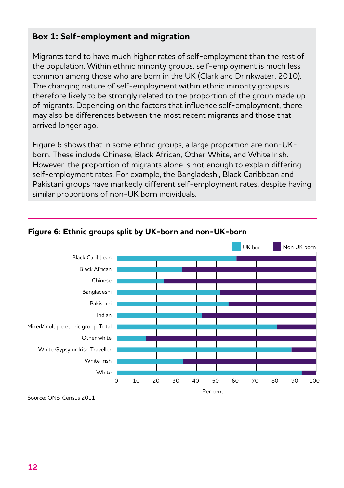#### **Box 1: Self-employment and migration**

Migrants tend to have much higher rates of self-employment than the rest of the population. Within ethnic minority groups, self-employment is much less common among those who are born in the UK (Clark and Drinkwater, 2010). The changing nature of self-employment within ethnic minority groups is therefore likely to be strongly related to the proportion of the group made up of migrants. Depending on the factors that influence self-employment, there may also be differences between the most recent migrants and those that arrived longer ago.

Figure 6 shows that in some ethnic groups, a large proportion are non-UKborn. These include Chinese, Black African, Other White, and White Irish. However, the proportion of migrants alone is not enough to explain differing self-employment rates. For example, the Bangladeshi, Black Caribbean and Pakistani groups have markedly different self-employment rates, despite having similar proportions of non-UK born individuals.



#### **Figure 6: Ethnic groups split by UK-born and non-UK-born**

Source: ONS, Census 2011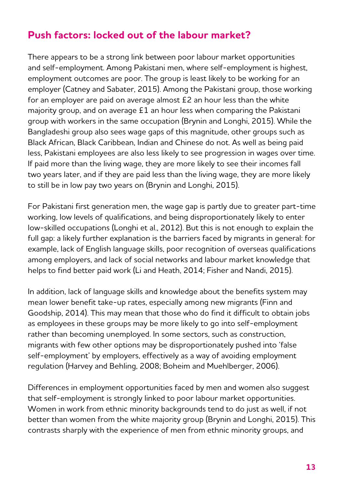### **Push factors: locked out of the labour market?**

There appears to be a strong link between poor labour market opportunities and self-employment. Among Pakistani men, where self-employment is highest, employment outcomes are poor. The group is least likely to be working for an employer (Catney and Sabater, 2015). Among the Pakistani group, those working for an employer are paid on average almost £2 an hour less than the white majority group, and on average £1 an hour less when comparing the Pakistani group with workers in the same occupation (Brynin and Longhi, 2015). While the Bangladeshi group also sees wage gaps of this magnitude, other groups such as Black African, Black Caribbean, Indian and Chinese do not. As well as being paid less, Pakistani employees are also less likely to see progression in wages over time. If paid more than the living wage, they are more likely to see their incomes fall two years later, and if they are paid less than the living wage, they are more likely to still be in low pay two years on (Brynin and Longhi, 2015).

For Pakistani first generation men, the wage gap is partly due to greater part-time working, low levels of qualifications, and being disproportionately likely to enter low-skilled occupations (Longhi et al., 2012). But this is not enough to explain the full gap: a likely further explanation is the barriers faced by migrants in general: for example, lack of English language skills, poor recognition of overseas qualifications among employers, and lack of social networks and labour market knowledge that helps to find better paid work (Li and Heath, 2014; Fisher and Nandi, 2015).

In addition, lack of language skills and knowledge about the benefits system may mean lower benefit take-up rates, especially among new migrants (Finn and Goodship, 2014). This may mean that those who do find it difficult to obtain jobs as employees in these groups may be more likely to go into self-employment rather than becoming unemployed. In some sectors, such as construction, migrants with few other options may be disproportionately pushed into 'false self-employment' by employers, effectively as a way of avoiding employment regulation (Harvey and Behling, 2008; Boheim and Muehlberger, 2006).

Differences in employment opportunities faced by men and women also suggest that self-employment is strongly linked to poor labour market opportunities. Women in work from ethnic minority backgrounds tend to do just as well, if not better than women from the white majority group (Brynin and Longhi, 2015). This contrasts sharply with the experience of men from ethnic minority groups, and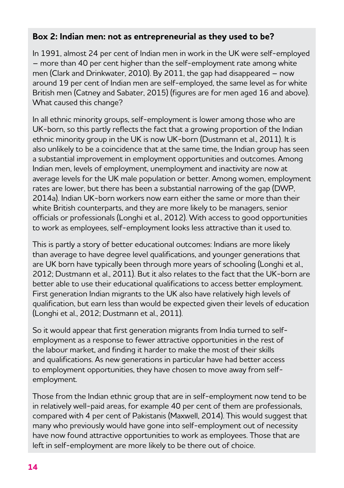#### **Box 2: Indian men: not as entrepreneurial as they used to be?**

In 1991, almost 24 per cent of Indian men in work in the UK were self-employed – more than 40 per cent higher than the self-employment rate among white men (Clark and Drinkwater, 2010). By 2011, the gap had disappeared – now around 19 per cent of Indian men are self-employed, the same level as for white British men (Catney and Sabater, 2015) (figures are for men aged 16 and above). What caused this change?

In all ethnic minority groups, self-employment is lower among those who are UK-born, so this partly reflects the fact that a growing proportion of the Indian ethnic minority group in the UK is now UK-born (Dustmann et al., 2011). It is also unlikely to be a coincidence that at the same time, the Indian group has seen a substantial improvement in employment opportunities and outcomes. Among Indian men, levels of employment, unemployment and inactivity are now at average levels for the UK male population or better. Among women, employment rates are lower, but there has been a substantial narrowing of the gap (DWP, 2014a). Indian UK-born workers now earn either the same or more than their white British counterparts, and they are more likely to be managers, senior officials or professionals (Longhi et al., 2012). With access to good opportunities to work as employees, self-employment looks less attractive than it used to.

This is partly a story of better educational outcomes: Indians are more likely than average to have degree level qualifications, and younger generations that are UK born have typically been through more years of schooling (Longhi et al., 2012; Dustmann et al., 2011). But it also relates to the fact that the UK-born are better able to use their educational qualifications to access better employment. First generation Indian migrants to the UK also have relatively high levels of qualification, but earn less than would be expected given their levels of education (Longhi et al., 2012; Dustmann et al., 2011).

So it would appear that first generation migrants from India turned to selfemployment as a response to fewer attractive opportunities in the rest of the labour market, and finding it harder to make the most of their skills and qualifications. As new generations in particular have had better access to employment opportunities, they have chosen to move away from selfemployment.

Those from the Indian ethnic group that are in self-employment now tend to be in relatively well-paid areas, for example 40 per cent of them are professionals, compared with 4 per cent of Pakistanis (Maxwell, 2014). This would suggest that many who previously would have gone into self-employment out of necessity have now found attractive opportunities to work as employees. Those that are left in self-employment are more likely to be there out of choice.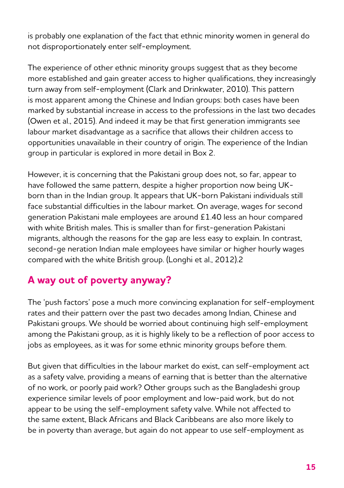is probably one explanation of the fact that ethnic minority women in general do not disproportionately enter self-employment.

The experience of other ethnic minority groups suggest that as they become more established and gain greater access to higher qualifications, they increasingly turn away from self-employment (Clark and Drinkwater, 2010). This pattern is most apparent among the Chinese and Indian groups: both cases have been marked by substantial increase in access to the professions in the last two decades (Owen et al., 2015). And indeed it may be that first generation immigrants see labour market disadvantage as a sacrifice that allows their children access to opportunities unavailable in their country of origin. The experience of the Indian group in particular is explored in more detail in Box 2.

However, it is concerning that the Pakistani group does not, so far, appear to have followed the same pattern, despite a higher proportion now being UKborn than in the Indian group. It appears that UK-born Pakistani individuals still face substantial difficulties in the labour market. On average, wages for second generation Pakistani male employees are around £1.40 less an hour compared with white British males. This is smaller than for first-generation Pakistani migrants, although the reasons for the gap are less easy to explain. In contrast, second-ge neration Indian male employees have similar or higher hourly wages compared with the white British group. (Longhi et al., 2012).2

# **A way out of poverty anyway?**

The 'push factors' pose a much more convincing explanation for self-employment rates and their pattern over the past two decades among Indian, Chinese and Pakistani groups. We should be worried about continuing high self-employment among the Pakistani group, as it is highly likely to be a reflection of poor access to jobs as employees, as it was for some ethnic minority groups before them.

But given that difficulties in the labour market do exist, can self-employment act as a safety valve, providing a means of earning that is better than the alternative of no work, or poorly paid work? Other groups such as the Bangladeshi group experience similar levels of poor employment and low-paid work, but do not appear to be using the self-employment safety valve. While not affected to the same extent, Black Africans and Black Caribbeans are also more likely to be in poverty than average, but again do not appear to use self-employment as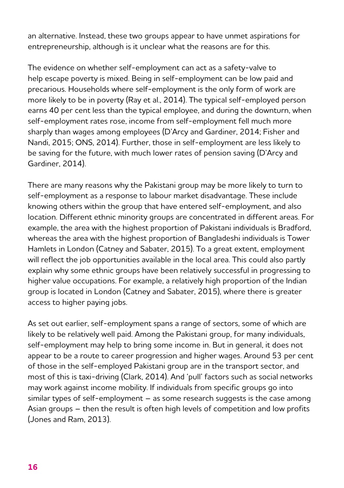an alternative. Instead, these two groups appear to have unmet aspirations for entrepreneurship, although is it unclear what the reasons are for this.

The evidence on whether self-employment can act as a safety-valve to help escape poverty is mixed. Being in self-employment can be low paid and precarious. Households where self-employment is the only form of work are more likely to be in poverty (Ray et al., 2014). The typical self-employed person earns 40 per cent less than the typical employee, and during the downturn, when self-employment rates rose, income from self-employment fell much more sharply than wages among employees (D'Arcy and Gardiner, 2014; Fisher and Nandi, 2015; ONS, 2014). Further, those in self-employment are less likely to be saving for the future, with much lower rates of pension saving (D'Arcy and Gardiner, 2014).

There are many reasons why the Pakistani group may be more likely to turn to self-employment as a response to labour market disadvantage. These include knowing others within the group that have entered self-employment, and also location. Different ethnic minority groups are concentrated in different areas. For example, the area with the highest proportion of Pakistani individuals is Bradford, whereas the area with the highest proportion of Bangladeshi individuals is Tower Hamlets in London (Catney and Sabater, 2015). To a great extent, employment will reflect the job opportunities available in the local area. This could also partly explain why some ethnic groups have been relatively successful in progressing to higher value occupations. For example, a relatively high proportion of the Indian group is located in London (Catney and Sabater, 2015), where there is greater access to higher paying jobs.

As set out earlier, self-employment spans a range of sectors, some of which are likely to be relatively well paid. Among the Pakistani group, for many individuals, self-employment may help to bring some income in. But in general, it does not appear to be a route to career progression and higher wages. Around 53 per cent of those in the self-employed Pakistani group are in the transport sector, and most of this is taxi-driving (Clark, 2014). And 'pull' factors such as social networks may work against income mobility. If individuals from specific groups go into similar types of self-employment – as some research suggests is the case among Asian groups – then the result is often high levels of competition and low profits (Jones and Ram, 2013).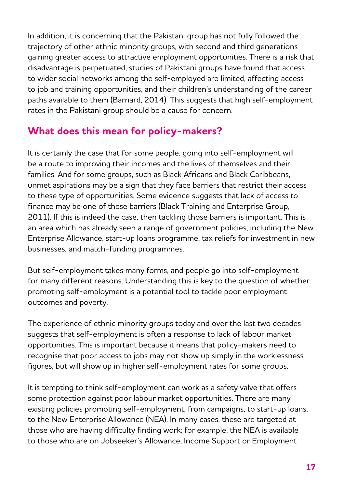In addition, it is concerning that the Pakistani group has not fully followed the trajectory of other ethnic minority groups, with second and third generations gaining greater access to attractive employment opportunities. There is a risk that disadvantage is perpetuated; studies of Pakistani groups have found that access to wider social networks among the self-employed are limited, affecting access to job and training opportunities, and their children's understanding of the career paths available to them (Barnard, 2014). This suggests that high self-employment rates in the Pakistani group should be a cause for concern.

## **What does this mean for policy-makers?**

It is certainly the case that for some people, going into self-employment will be a route to improving their incomes and the lives of themselves and their families. And for some groups, such as Black Africans and Black Caribbeans, unmet aspirations may be a sign that they face barriers that restrict their access to these type of opportunities. Some evidence suggests that lack of access to finance may be one of these barriers (Black Training and Enterprise Group, 2011). If this is indeed the case, then tackling those barriers is important. This is an area which has already seen a range of government policies, including the New Enterprise Allowance, start-up loans programme, tax reliefs for investment in new businesses, and match-funding programmes.

But self-employment takes many forms, and people go into self-employment for many different reasons. Understanding this is key to the question of whether promoting self-employment is a potential tool to tackle poor employment outcomes and poverty.

The experience of ethnic minority groups today and over the last two decades suggests that self-employment is often a response to lack of labour market opportunities. This is important because it means that policy-makers need to recognise that poor access to jobs may not show up simply in the worklessness figures, but will show up in higher self-employment rates for some groups.

It is tempting to think self-employment can work as a safety valve that offers some protection against poor labour market opportunities. There are many existing policies promoting self-employment, from campaigns, to start-up loans, to the New Enterprise Allowance (NEA). In many cases, these are targeted at those who are having difficulty finding work; for example, the NEA is available to those who are on Jobseeker's Allowance, Income Support or Employment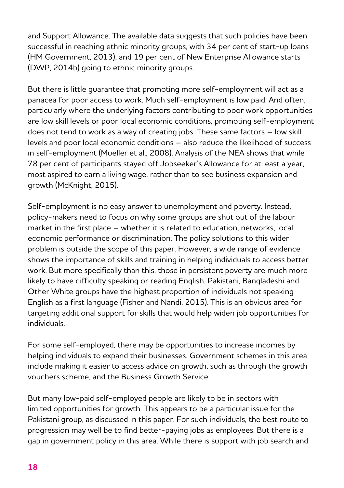and Support Allowance. The available data suggests that such policies have been successful in reaching ethnic minority groups, with 34 per cent of start-up loans (HM Government, 2013), and 19 per cent of New Enterprise Allowance starts (DWP, 2014b) going to ethnic minority groups.

But there is little guarantee that promoting more self-employment will act as a panacea for poor access to work. Much self-employment is low paid. And often, particularly where the underlying factors contributing to poor work opportunities are low skill levels or poor local economic conditions, promoting self-employment does not tend to work as a way of creating jobs. These same factors – low skill levels and poor local economic conditions – also reduce the likelihood of success in self-employment (Mueller et al., 2008). Analysis of the NEA shows that while 78 per cent of participants stayed off Jobseeker's Allowance for at least a year, most aspired to earn a living wage, rather than to see business expansion and growth (McKnight, 2015).

Self-employment is no easy answer to unemployment and poverty. Instead, policy-makers need to focus on why some groups are shut out of the labour market in the first place – whether it is related to education, networks, local economic performance or discrimination. The policy solutions to this wider problem is outside the scope of this paper. However, a wide range of evidence shows the importance of skills and training in helping individuals to access better work. But more specifically than this, those in persistent poverty are much more likely to have difficulty speaking or reading English. Pakistani, Bangladeshi and Other White groups have the highest proportion of individuals not speaking English as a first language (Fisher and Nandi, 2015). This is an obvious area for targeting additional support for skills that would help widen job opportunities for individuals.

For some self-employed, there may be opportunities to increase incomes by helping individuals to expand their businesses. Government schemes in this area include making it easier to access advice on growth, such as through the growth vouchers scheme, and the Business Growth Service.

But many low-paid self-employed people are likely to be in sectors with limited opportunities for growth. This appears to be a particular issue for the Pakistani group, as discussed in this paper. For such individuals, the best route to progression may well be to find better-paying jobs as employees. But there is a gap in government policy in this area. While there is support with job search and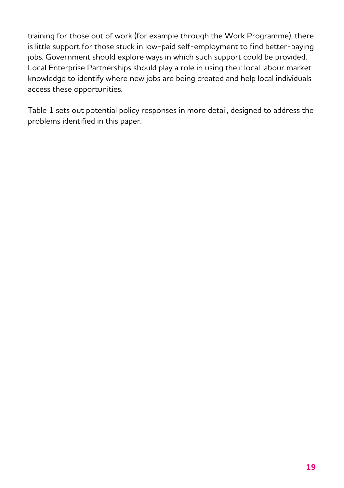training for those out of work (for example through the Work Programme), there is little support for those stuck in low-paid self-employment to find better-paying jobs. Government should explore ways in which such support could be provided. Local Enterprise Partnerships should play a role in using their local labour market knowledge to identify where new jobs are being created and help local individuals access these opportunities.

Table 1 sets out potential policy responses in more detail, designed to address the problems identified in this paper.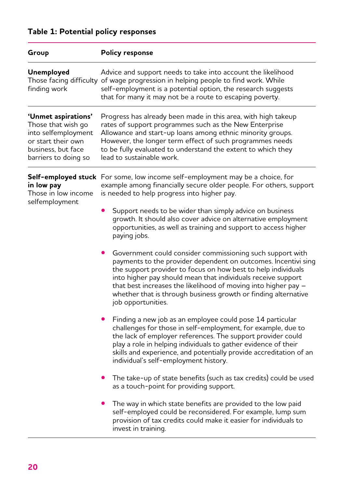| Group                                                                                                                                | <b>Policy response</b>                                                                                                                                                                                                                                                                                                                                                                                                 |
|--------------------------------------------------------------------------------------------------------------------------------------|------------------------------------------------------------------------------------------------------------------------------------------------------------------------------------------------------------------------------------------------------------------------------------------------------------------------------------------------------------------------------------------------------------------------|
| Unemployed<br>finding work                                                                                                           | Advice and support needs to take into account the likelihood<br>Those facing difficulty of wage progression in helping people to find work. While<br>self-employment is a potential option, the research suggests<br>that for many it may not be a route to escaping poverty.                                                                                                                                          |
| 'Unmet aspirations'<br>Those that wish go<br>into selfemployment<br>or start their own<br>business, but face<br>barriers to doing so | Progress has already been made in this area, with high takeup<br>rates of support programmes such as the New Enterprise<br>Allowance and start-up loans among ethnic minority groups.<br>However, the longer term effect of such programmes needs<br>to be fully evaluated to understand the extent to which they<br>lead to sustainable work.                                                                         |
| in low pay<br>Those in low income<br>selfemployment                                                                                  | Self-employed stuck For some, low income self-employment may be a choice, for<br>example among financially secure older people. For others, support<br>is needed to help progress into higher pay.                                                                                                                                                                                                                     |
|                                                                                                                                      | Support needs to be wider than simply advice on business<br>growth. It should also cover advice on alternative employment<br>opportunities, as well as training and support to access higher<br>paying jobs.                                                                                                                                                                                                           |
|                                                                                                                                      | Government could consider commissioning such support with<br>payments to the provider dependent on outcomes. Incentivi sing<br>the support provider to focus on how best to help individuals<br>into higher pay should mean that individuals receive support<br>that best increases the likelihood of moving into higher pay -<br>whether that is through business growth or finding alternative<br>job opportunities. |
|                                                                                                                                      | Finding a new job as an employee could pose 14 particular<br>challenges for those in self-employment, for example, due to<br>the lack of employer references. The support provider could<br>play a role in helping individuals to gather evidence of their<br>skills and experience, and potentially provide accreditation of an<br>individual's self-employment history.                                              |
|                                                                                                                                      | The take-up of state benefits (such as tax credits) could be used<br>as a touch-point for providing support.                                                                                                                                                                                                                                                                                                           |
|                                                                                                                                      | The way in which state benefits are provided to the low paid<br>self-employed could be reconsidered. For example, lump sum<br>provision of tax credits could make it easier for individuals to<br>invest in training.                                                                                                                                                                                                  |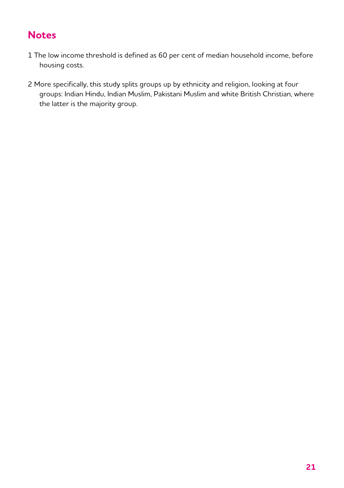## **Notes**

- 1 The low income threshold is defined as 60 per cent of median household income, before housing costs.
- 2 More specifically, this study splits groups up by ethnicity and religion, looking at four groups: Indian Hindu, Indian Muslim, Pakistani Muslim and white British Christian, where the latter is the majority group.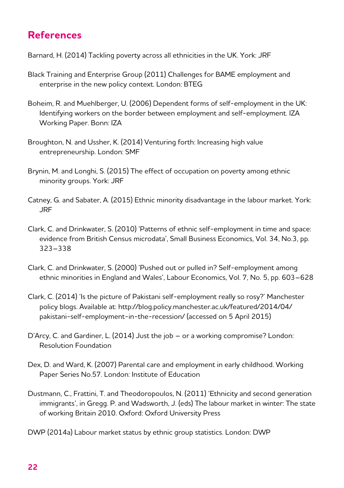### **References**

Barnard, H. (2014) Tackling poverty across all ethnicities in the UK. York: JRF

- Black Training and Enterprise Group (2011) Challenges for BAME employment and enterprise in the new policy context. London: BTEG
- Boheim, R. and Muehlberger, U. (2006) Dependent forms of self-employment in the UK: Identifying workers on the border between employment and self-employment. IZA Working Paper. Bonn: IZA
- Broughton, N. and Ussher, K. (2014) Venturing forth: Increasing high value entrepreneurship. London: SMF
- Brynin, M. and Longhi, S. (2015) The effect of occupation on poverty among ethnic minority groups. York: JRF
- Catney, G. and Sabater, A. (2015) Ethnic minority disadvantage in the labour market. York: JRF
- Clark, C. and Drinkwater, S. (2010) 'Patterns of ethnic self-employment in time and space: evidence from British Census microdata', Small Business Economics, Vol. 34, No.3, pp. 323–338
- Clark, C. and Drinkwater, S. (2000) 'Pushed out or pulled in? Self-employment among ethnic minorities in England and Wales', Labour Economics, Vol. 7, No. 5, pp. 603–628
- Clark, C. (2014) 'Is the picture of Pakistani self-employment really so rosy?' Manchester policy blogs. Available at: http://blog.policy.manchester.ac.uk/featured/2014/04/ pakistani-self-employment-in-the-recession/ (accessed on 5 April 2015)
- D'Arcy, C. and Gardiner, L. (2014) Just the job or a working compromise? London: Resolution Foundation
- Dex, D. and Ward, K. (2007) Parental care and employment in early childhood. Working Paper Series No.57. London: Institute of Education
- Dustmann, C., Frattini, T. and Theodoropoulos, N. (2011) 'Ethnicity and second generation immigrants', in Gregg. P. and Wadsworth, J. (eds) The labour market in winter: The state of working Britain 2010. Oxford: Oxford University Press
- DWP (2014a) Labour market status by ethnic group statistics. London: DWP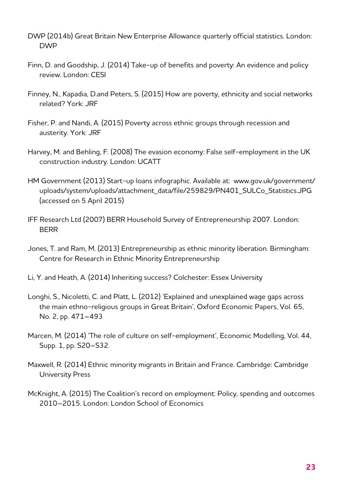- DWP (2014b) Great Britain New Enterprise Allowance quarterly official statistics. London: DWP
- Finn, D. and Goodship, J. (2014) Take-up of benefits and poverty: An evidence and policy review. London: CESI
- Finney, N., Kapadia, D.and Peters, S. (2015) How are poverty, ethnicity and social networks related? York: JRF
- Fisher, P. and Nandi, A. (2015) Poverty across ethnic groups through recession and austerity. York: JRF
- Harvey, M. and Behling, F. (2008) The evasion economy: False self-employment in the UK construction industry. London: UCATT
- HM Government (2013) Start-up loans infographic. Available at: www.gov.uk/government/ uploads/system/uploads/attachment\_data/file/259829/PN401\_SULCo\_Statistics.JPG (accessed on 5 April 2015)
- IFF Research Ltd (2007) BERR Household Survey of Entrepreneurship 2007. London: BERR
- Jones, T. and Ram, M. (2013) Entrepreneurship as ethnic minority liberation. Birmingham: Centre for Research in Ethnic Minority Entrepreneurship
- Li, Y. and Heath, A. (2014) Inheriting success? Colchester: Essex University
- Longhi, S., Nicoletti, C. and Platt, L. (2012) 'Explained and unexplained wage gaps across the main ethno-religious groups in Great Britain', Oxford Economic Papers, Vol. 65, No. 2, pp. 471–493
- Marcen, M. (2014) 'The role of culture on self-employment', Economic Modelling, Vol. 44, Supp. 1, pp. S20–S32.
- Maxwell, R. (2014) Ethnic minority migrants in Britain and France. Cambridge: Cambridge University Press
- McKnight, A. (2015) The Coalition's record on employment: Policy, spending and outcomes 2010–2015. London: London School of Economics